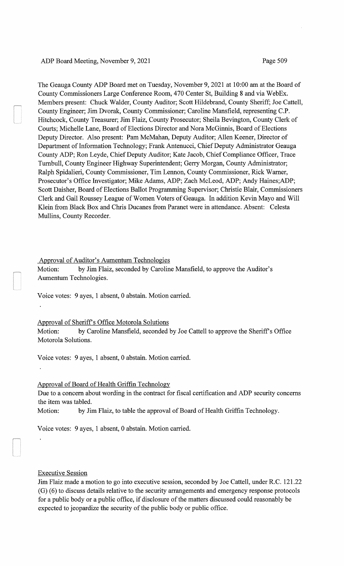# ADP Board Meeting, November 9, 2021 Page 509

The Geauga County ADP Board met on Tuesday, November 9, 2021 at 10:00 am at the Board of County Commissioners Large Conference Room, 470 Center St, Building 8 and via WebEx. Members present: Chuck Walder, County Auditor; Scott Hildebrand, County Sheriff; Joe Cattell, County Engineer; Jim Dvorak, County Commissioner; Caroline Mansfield, representing C.P. Hitchcock, County Treasurer; Jim Flaiz, County Prosecutor; Sheila Bevington, County Clerk of Courts; Michelle Lane, Board of Elections Director and Nora McGinnis, Board of Elections Deputy Director. Also present: Pam McMahan, Deputy Auditor; Allen Keener, Director of Department of Information Technology; Frank Antenucci, Chief Deputy Administrator Geauga County ADP; Ron Leyde, ChiefDeputy Auditor; Kate Jacob, Chief Compliance Officer, Trace Turnbull, County Engineer Highway Superintendent; Gerry Morgan, County Administrator; Ralph Spidalieri, County Commissioner, Tim Lennon, County Commissioner, Rick Warner, Prosecutor's Office Investigator; Mike Adams, ADP; Zach McLeod, ADP; Andy Haines;ADP; Scott Daisher, Board of Elections Ballot Programming Supervisor; Christie Blair, Commissioners Clerk and Gail Roussey League of Women Voters of Geauga. In addition Kevin Mayo and Will Klein from Black Box and Chris Ducanes from Paranet were in attendance. Absent: Celesta Mullins, County Recorder.

## Approval of Auditor's Aumentum Technologies

Motion: by Jim Flaiz, seconded by Caroline Mansfield, to approve the Auditor's Aumentum Technologies.

Voice votes: 9 ayes, 1 absent, 0 abstain. Motion carried.

### Approval of Sheriff's Office Motorola Solutions

Motion: by Caroline Mansfield, seconded by Joe Cattell to approve the Sheriff's Office Motorola Solutions.

Voice votes: 9 ayes, 1 absent, 0 abstain. Motion carried.

## Approval of Board of Health Griffin Technology

Due to a concern about wording in the contract for fiscal certification and ADP security concerns the item was tabled.

Motion: by Jim Flaiz, to table the approval of Board of Health Griffin Technology.

Voice votes: 9 ayes, 1 absent, 0 abstain. Motion carried.

# Executive Session

Jim Flaiz made a motion to go into executive session, seconded by Joe Cattell, under R.C. 121.22 (G) (6) to discuss details relative to the security arrangements and emergency response protocols for a public body or a public office, if disclosure of the matters discussed could reasonably be expected to jeopardize the security of the public body or public office.